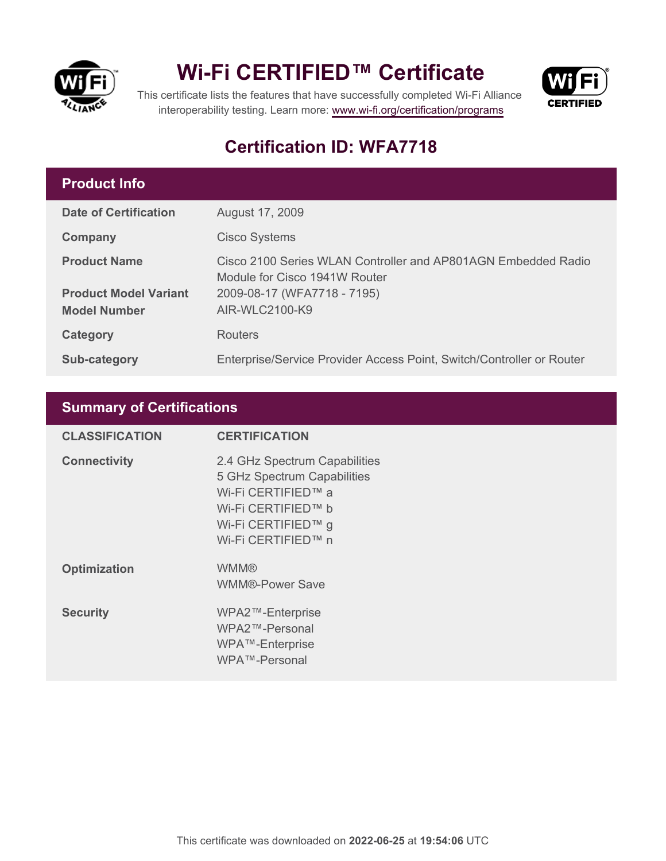

## **Wi-Fi CERTIFIED™ Certificate**



This certificate lists the features that have successfully completed Wi-Fi Alliance interoperability testing. Learn more:<www.wi-fi.org/certification/programs>

### **Certification ID: WFA7718**

#### **Product Info**

| <b>Date of Certification</b>                        | August 17, 2009                                                                                |
|-----------------------------------------------------|------------------------------------------------------------------------------------------------|
| Company                                             | <b>Cisco Systems</b>                                                                           |
| <b>Product Name</b>                                 | Cisco 2100 Series WLAN Controller and AP801AGN Embedded Radio<br>Module for Cisco 1941W Router |
| <b>Product Model Variant</b><br><b>Model Number</b> | 2009-08-17 (WFA7718 - 7195)<br>AIR-WLC2100-K9                                                  |
| Category                                            | <b>Routers</b>                                                                                 |
| <b>Sub-category</b>                                 | Enterprise/Service Provider Access Point, Switch/Controller or Router                          |

#### **Summary of Certifications**

| <b>CLASSIFICATION</b> | <b>CERTIFICATION</b>                                                                                                                                 |
|-----------------------|------------------------------------------------------------------------------------------------------------------------------------------------------|
| <b>Connectivity</b>   | 2.4 GHz Spectrum Capabilities<br>5 GHz Spectrum Capabilities<br>Wi-Fi CERTIFIED™ a<br>Wi-Fi CERTIFIED™ b<br>Wi-Fi CERTIFIED™ g<br>Wi-Fi CERTIFIED™ n |
| <b>Optimization</b>   | <b>WMM®</b><br><b>WMM®-Power Save</b>                                                                                                                |
| <b>Security</b>       | WPA2™-Enterprise<br>WPA2™-Personal<br>WPA™-Enterprise<br>WPA™-Personal                                                                               |